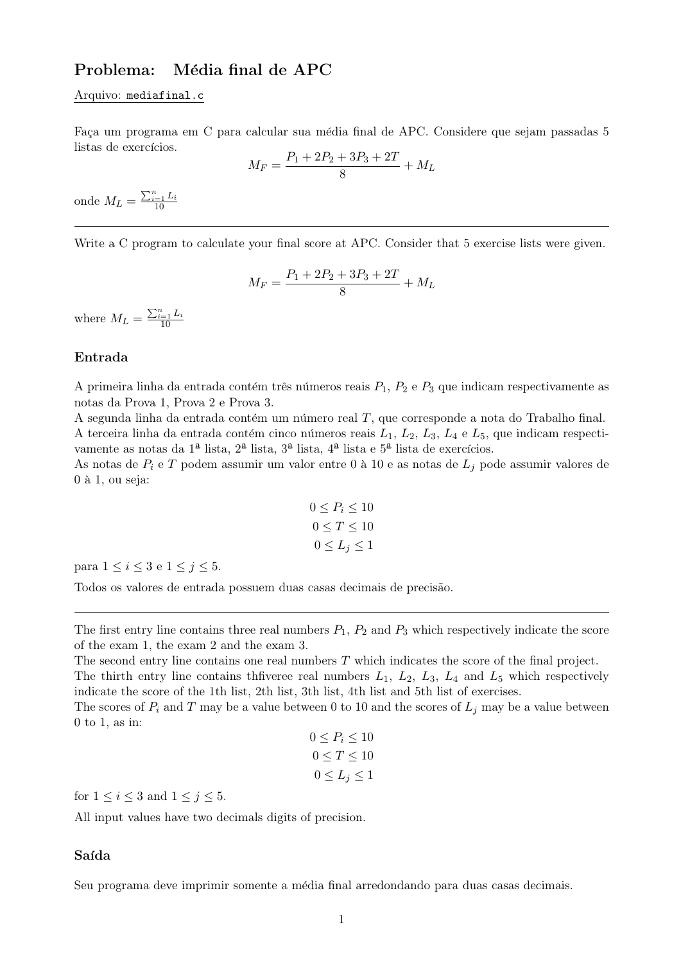# Problema: Média final de APC

#### Arquivo: mediafinal.c

Faça um programa em C para calcular sua média final de APC. Considere que sejam passadas 5 listas de exercícios.

$$
M_F = \frac{P_1 + 2P_2 + 3P_3 + 2T}{8} + M_L
$$

onde  $M_L = \frac{\sum_{i=1}^{n} L_i}{10}$ 

Write a C program to calculate your final score at APC. Consider that 5 exercise lists were given.

$$
M_F = \frac{P_1 + 2P_2 + 3P_3 + 2T}{8} + M_L
$$

where  $M_L = \frac{\sum_{i=1}^{n} L_i}{10}$ 

## Entrada

A primeira linha da entrada contém três números reais  $P_1$ ,  $P_2$  e  $P_3$  que indicam respectivamente as notas da Prova 1, Prova 2 e Prova 3.

A segunda linha da entrada contém um número real  $T$ , que corresponde a nota do Trabalho final. A terceira linha da entrada contém cinco números reais  $L_1$ ,  $L_2$ ,  $L_3$ ,  $L_4$  e  $L_5$ , que indicam respectivamente as notas da  $1^{\underline{a}}$  lista,  $2^{\underline{a}}$  lista,  $3^{\underline{a}}$  lista,  $4^{\underline{a}}$  lista e  $5^{\underline{a}}$  lista de exercícios.

As notas de  $P_i$  e T podem assumir um valor entre 0 à 10 e as notas de  $L_j$  pode assumir valores de  $0$  à 1, ou seja:

$$
0 \le P_i \le 10
$$
  

$$
0 \le T \le 10
$$
  

$$
0 \le L_j \le 1
$$

para  $1 \leq i \leq 3$  e  $1 \leq j \leq 5$ .

Todos os valores de entrada possuem duas casas decimais de precisão.

The first entry line contains three real numbers  $P_1$ ,  $P_2$  and  $P_3$  which respectively indicate the score of the exam 1, the exam 2 and the exam 3.

The second entry line contains one real numbers T which indicates the score of the final project. The thirth entry line contains theorem real numbers  $L_1$ ,  $L_2$ ,  $L_3$ ,  $L_4$  and  $L_5$  which respectively indicate the score of the 1th list, 2th list, 3th list, 4th list and 5th list of exercises.

The scores of  $P_i$  and T may be a value between 0 to 10 and the scores of  $L_i$  may be a value between 0 to 1, as in:

$$
0 \le P_i \le 10
$$
  

$$
0 \le T \le 10
$$
  

$$
0 \le L_j \le 1
$$

for  $1 \leq i \leq 3$  and  $1 \leq j \leq 5$ .

All input values have two decimals digits of precision.

### Saída

Seu programa deve imprimir somente a média final arredondando para duas casas decimais.